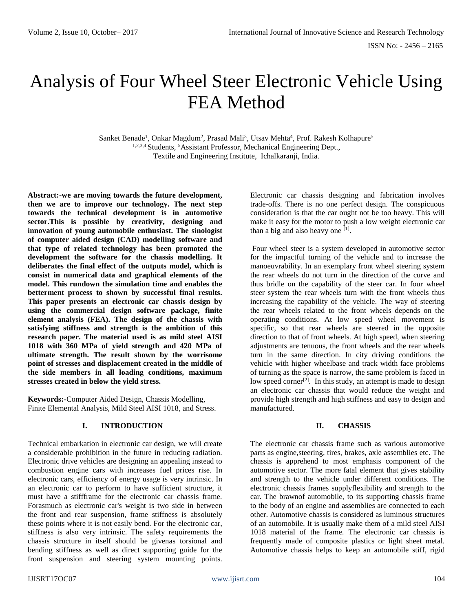# Analysis of Four Wheel Steer Electronic Vehicle Using FEA Method

Sanket Benade<sup>1</sup>, Onkar Magdum<sup>2</sup>, Prasad Mali<sup>3</sup>, Utsav Mehta<sup>4</sup>, Prof. Rakesh Kolhapure<sup>5</sup> 1,2,3,4 Students, <sup>5</sup>Assistant Professor, Mechanical Engineering Dept., Textile and Engineering Institute, Ichalkaranji, India.

**Abstract:-we are moving towards the future development, then we are to improve our technology. The next step towards the technical development is in automotive sector.This is possible by creativity, designing and innovation of young automobile enthusiast. The sinologist of computer aided design (CAD) modelling software and that type of related technology has been promoted the development the software for the chassis modelling. It deliberates the final effect of the outputs model, which is consist in numerical data and graphical elements of the model. This rundown the simulation time and enables the betterment process to shown by successful final results. This paper presents an electronic car chassis design by using the commercial design software package, finite element analysis (FEA). The design of the chassis with satisfying stiffness and strength is the ambition of this research paper. The material used is as mild steel AISI 1018 with 360 MPa of yield strength and 420 MPa of ultimate strength. The result shown by the worrisome point of stresses and displacement created in the middle of the side members in all loading conditions, maximum stresses created in below the yield stress.**

**Keywords:-**Computer Aided Design, Chassis Modelling, Finite Elemental Analysis, Mild Steel AISI 1018, and Stress.

#### **I. INTRODUCTION**

Technical embarkation in electronic car design, we will create a considerable prohibition in the future in reducing radiation. Electronic drive vehicles are designing an appealing instead to combustion engine cars with increases fuel prices rise. In electronic cars, efficiency of energy usage is very intrinsic. In an electronic car to perform to have sufficient structure, it must have a stiffframe for the electronic car chassis frame. Forasmuch as electronic car's weight is two side in between the front and rear suspension, frame stiffness is absolutely these points where it is not easily bend. For the electronic car, stiffness is also very intrinsic. The safety requirements the chassis structure in itself should be givenas torsional and bending stiffness as well as direct supporting guide for the front suspension and steering system mounting points.

Electronic car chassis designing and fabrication involves trade-offs. There is no one perfect design. The conspicuous consideration is that the car ought not be too heavy. This will make it easy for the motor to push a low weight electronic car than a big and also heavy one [1].

Four wheel steer is a system developed in automotive sector for the impactful turning of the vehicle and to increase the manoeuvrability. In an exemplary front wheel steering system the rear wheels do not turn in the direction of the curve and thus bridle on the capability of the steer car. In four wheel steer system the rear wheels turn with the front wheels thus increasing the capability of the vehicle. The way of steering the rear wheels related to the front wheels depends on the operating conditions. At low speed wheel movement is specific, so that rear wheels are steered in the opposite direction to that of front wheels. At high speed, when steering adjustments are tenuous, the front wheels and the rear wheels turn in the same direction. In city driving conditions the vehicle with higher wheelbase and track width face problems of turning as the space is narrow, the same problem is faced in low speed corner<sup>[2]</sup>. In this study, an attempt is made to design an electronic car chassis that would reduce the weight and provide high strength and high stiffness and easy to design and manufactured.

#### **II. CHASSIS**

The electronic car chassis frame such as various automotive parts as engine,steering, tires, brakes, axle assemblies etc. The chassis is apprehend to most emphasis component of the automotive sector. The more fatal element that gives stability and strength to the vehicle under different conditions. The electronic chassis frames supplyflexibility and strength to the car. The brawnof automobile, to its supporting chassis frame to the body of an engine and assemblies are connected to each other. Automotive chassis is considered as luminous structures of an automobile. It is usually make them of a mild steel AISI 1018 material of the frame. The electronic car chassis is frequently made of composite plastics or light sheet metal. Automotive chassis helps to keep an automobile stiff, rigid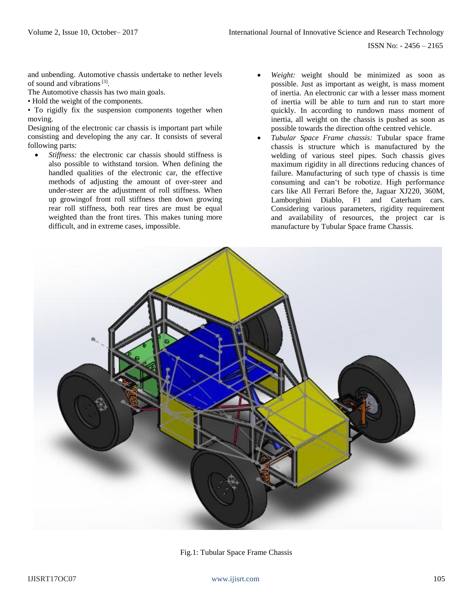ISSN No: - 2456 – 2165

and unbending. Automotive chassis undertake to nether levels of sound and vibrations<sup>[3]</sup>.

The Automotive chassis has two main goals.

• Hold the weight of the components.

• To rigidly fix the suspension components together when moving.

Designing of the electronic car chassis is important part while consisting and developing the any car. It consists of several following parts:

- *Stiffness:* the electronic car chassis should stiffness is also possible to withstand torsion. When defining the handled qualities of the electronic car, the effective methods of adjusting the amount of over-steer and under-steer are the adjustment of roll stiffness. When up growingof front roll stiffness then down growing rear roll stiffness, both rear tires are must be equal weighted than the front tires. This makes tuning more difficult, and in extreme cases, impossible.
- Weight: weight should be minimized as soon as possible. Just as important as weight, is mass moment of inertia. An electronic car with a lesser mass moment of inertia will be able to turn and run to start more quickly. In according to rundown mass moment of inertia, all weight on the chassis is pushed as soon as possible towards the direction ofthe centred vehicle.
- *Tubular Space Frame chassis:* Tubular space frame chassis is structure which is manufactured by the welding of various steel pipes. Such chassis gives maximum rigidity in all directions reducing chances of failure. Manufacturing of such type of chassis is time consuming and can't be robotize. High performance cars like All Ferrari Before the, Jaguar XJ220, 360M, Lamborghini Diablo, F1 and Caterham cars. Considering various parameters, rigidity requirement and availability of resources, the project car is manufacture by Tubular Space frame Chassis.



Fig.1: Tubular Space Frame Chassis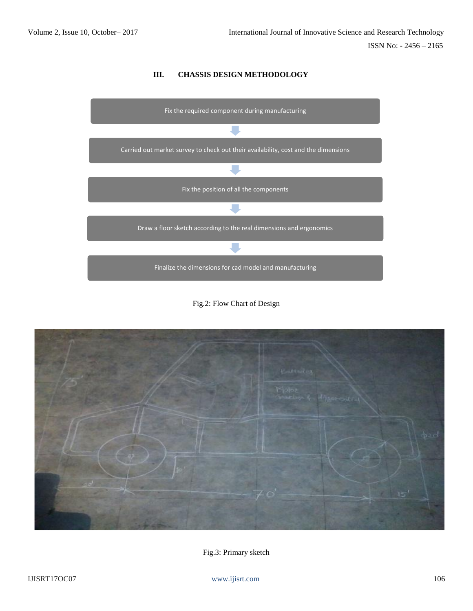# **III. CHASSIS DESIGN METHODOLOGY**



Fig.2: Flow Chart of Design



Fig.3: Primary sketch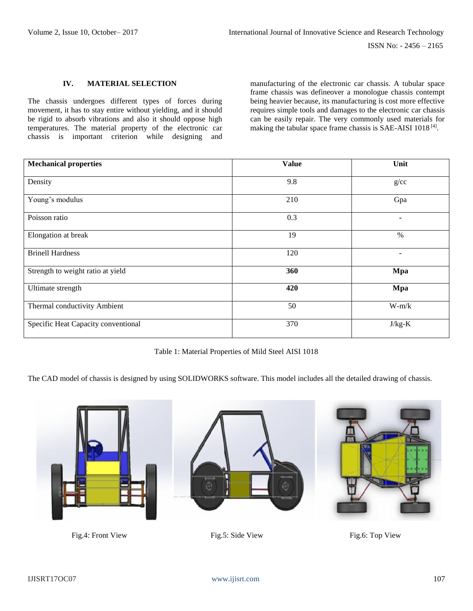#### **IV. MATERIAL SELECTION**

The chassis undergoes different types of forces during movement, it has to stay entire without yielding, and it should be rigid to absorb vibrations and also it should oppose high temperatures. The material property of the electronic car chassis is important criterion while designing and

manufacturing of the electronic car chassis. A tubular space frame chassis was defineover a monologue chassis contempt being heavier because, its manufacturing is cost more effective requires simple tools and damages to the electronic car chassis can be easily repair. The very commonly used materials for making the tabular space frame chassis is SAE-AISI  $1018^{[4]}$ .

| <b>Mechanical properties</b>        | <b>Value</b> | Unit     |
|-------------------------------------|--------------|----------|
| Density                             | 9.8          | g/cc     |
| Young's modulus                     | 210          | Gpa      |
| Poisson ratio                       | 0.3          | ۰        |
| Elongation at break                 | 19           | $\%$     |
| <b>Brinell Hardness</b>             | 120          | ٠        |
| Strength to weight ratio at yield   | 360          | Mpa      |
| Ultimate strength                   | 420          | Mpa      |
| Thermal conductivity Ambient        | 50           | $W-m/k$  |
| Specific Heat Capacity conventional | 370          | $J/kg-K$ |

Table 1: Material Properties of Mild Steel AISI 1018

The CAD model of chassis is designed by using SOLIDWORKS software. This model includes all the detailed drawing of chassis.



Fig.4: Front View Fig.5: Side View Fig.6: Top View



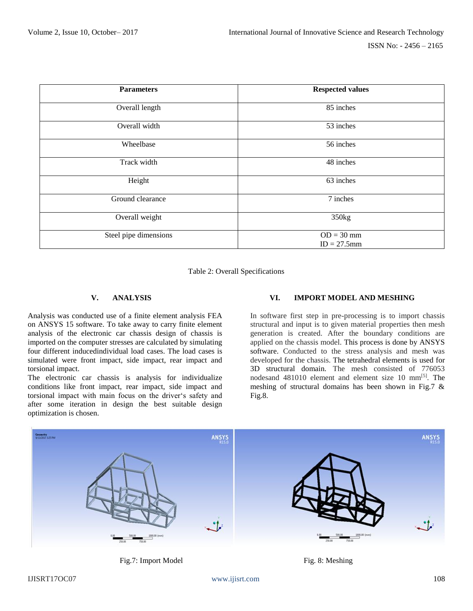| <b>Parameters</b>     | <b>Respected values</b>       |  |
|-----------------------|-------------------------------|--|
| Overall length        | 85 inches                     |  |
| Overall width         | 53 inches                     |  |
| Wheelbase             | 56 inches                     |  |
| Track width           | 48 inches                     |  |
| Height                | 63 inches                     |  |
| Ground clearance      | 7 inches                      |  |
| Overall weight        | 350kg                         |  |
| Steel pipe dimensions | $OD = 30$ mm<br>$ID = 27.5mm$ |  |

Table 2: Overall Specifications

# **V. ANALYSIS**

Analysis was conducted use of a finite element analysis FEA on ANSYS 15 software. To take away to carry finite element analysis of the electronic car chassis design of chassis is imported on the computer stresses are calculated by simulating four different inducedindividual load cases. The load cases is simulated were front impact, side impact, rear impact and torsional impact.

The electronic car chassis is analysis for individualize conditions like front impact, rear impact, side impact and torsional impact with main focus on the driver's safety and after some iteration in design the best suitable design optimization is chosen.

# **VI. IMPORT MODEL AND MESHING**

In software first step in pre-processing is to import chassis structural and input is to given material properties then mesh generation is created. After the boundary conditions are applied on the chassis model. This process is done by ANSYS software. Conducted to the stress analysis and mesh was developed for the chassis. The tetrahedral elements is used for 3D structural domain. The mesh consisted of 776053 nodesand 481010 element and element size 10 mm[5] . The meshing of structural domains has been shown in Fig.7 & Fig.8.





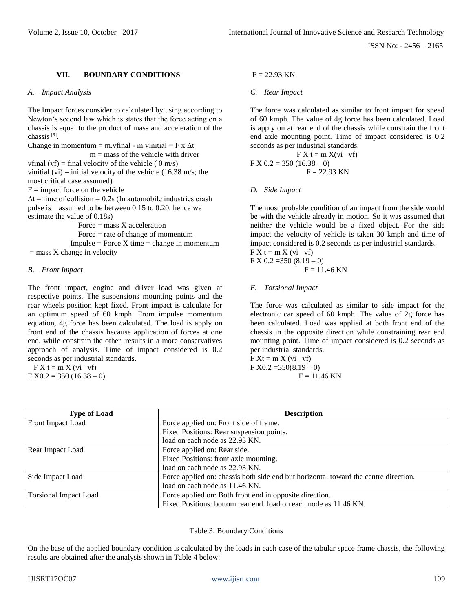# **VII. BOUNDARY CONDITIONS**

#### *A. Impact Analysis*

The Impact forces consider to calculated by using according to Newton's second law which is states that the force acting on a chassis is equal to the product of mass and acceleration of the chassis<sup>[6]</sup>.

Change in momentum = m.vfinal - m.vinitial =  $F x \Delta t$  $m =$  mass of the vehicle with driver vfinal (vf) = final velocity of the vehicle (  $0 \text{ m/s}$ ) vinitial (vi) = initial velocity of the vehicle (16.38 m/s; the most critical case assumed)

 $F =$  impact force on the vehicle

 $\Delta t$  = time of collision = 0.2s (In automobile industries crash pulse is assumed to be between 0.15 to 0.20, hence we estimate the value of 0.18s)

 Force = mass X acceleration Force = rate of change of momentum  $Impulse = Force X time = change in momentum$  $=$  mass X change in velocity

## *B. Front Impact*

The front impact, engine and driver load was given at respective points. The suspensions mounting points and the rear wheels position kept fixed. Front impact is calculate for an optimum speed of 60 kmph. From impulse momentum equation, 4g force has been calculated. The load is apply on front end of the chassis because application of forces at one end, while constrain the other, results in a more conservatives approach of analysis. Time of impact considered is 0.2 seconds as per industrial standards.

 $\overline{F} X t = m X (vi -vf)$  $F X0.2 = 350 (16.38 - 0)$ 

# $F = 22.93$  KN

## *C. Rear Impact*

The force was calculated as similar to front impact for speed of 60 kmph. The value of 4g force has been calculated. Load is apply on at rear end of the chassis while constrain the front end axle mounting point. Time of impact considered is 0.2 seconds as per industrial standards.

$$
FX t = m X(vi - vf)
$$
  
F X 0.2 = 350 (16.38 – 0)  
F = 22.93 KN

#### *D. Side Impact*

The most probable condition of an impact from the side would be with the vehicle already in motion. So it was assumed that neither the vehicle would be a fixed object. For the side impact the velocity of vehicle is taken 30 kmph and time of impact considered is 0.2 seconds as per industrial standards.  $\overline{F} X t = m X (vi -vf)$  $FX 0.2 = 350 (8.19 - 0)$ 

$$
F = 11.46 \text{ KN}
$$

## *E. Torsional Impact*

The force was calculated as similar to side impact for the electronic car speed of 60 kmph. The value of 2g force has been calculated. Load was applied at both front end of the chassis in the opposite direction while constraining rear end mounting point. Time of impact considered is 0.2 seconds as per industrial standards.

 $\overline{F} Xt = m X (vi -vf)$  $F X0.2 = 350(8.19 - 0)$  $F = 11.46$  KN

| <b>Type of Load</b>          | <b>Description</b>                                                                  |  |  |  |
|------------------------------|-------------------------------------------------------------------------------------|--|--|--|
| Front Impact Load            | Force applied on: Front side of frame.                                              |  |  |  |
|                              | Fixed Positions: Rear suspension points.                                            |  |  |  |
|                              | load on each node as 22.93 KN.                                                      |  |  |  |
| Rear Impact Load             | Force applied on: Rear side.                                                        |  |  |  |
|                              | Fixed Positions: front axle mounting.                                               |  |  |  |
|                              | load on each node as 22.93 KN.                                                      |  |  |  |
| Side Impact Load             | Force applied on: chassis both side end but horizontal toward the centre direction. |  |  |  |
|                              | load on each node as 11.46 KN.                                                      |  |  |  |
| <b>Torsional Impact Load</b> | Force applied on: Both front end in opposite direction.                             |  |  |  |
|                              | Fixed Positions: bottom rear end. load on each node as 11.46 KN.                    |  |  |  |

#### Table 3: Boundary Conditions

On the base of the applied boundary condition is calculated by the loads in each case of the tabular space frame chassis, the following results are obtained after the analysis shown in Table 4 below: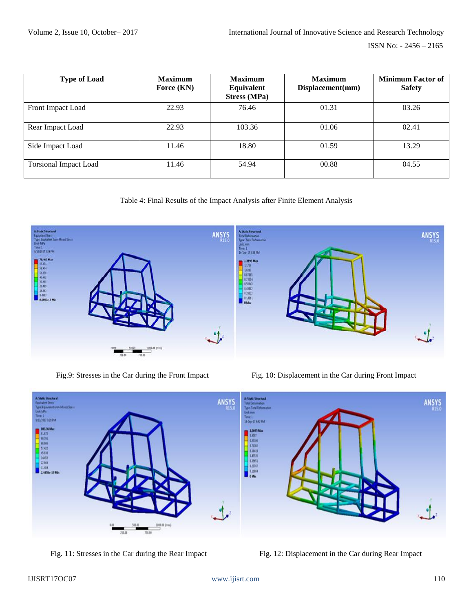ISSN No: - 2456 – 2165

| <b>Type of Load</b>          | <b>Maximum</b><br>Force $(KN)$ | <b>Maximum</b><br>Equivalent<br><b>Stress (MPa)</b> | <b>Maximum</b><br>Displacement(mm) | <b>Minimum Factor of</b><br><b>Safety</b> |
|------------------------------|--------------------------------|-----------------------------------------------------|------------------------------------|-------------------------------------------|
| Front Impact Load            | 22.93                          | 76.46                                               | 01.31                              | 03.26                                     |
| Rear Impact Load             | 22.93                          | 103.36                                              | 01.06                              | 02.41                                     |
| Side Impact Load             | 11.46                          | 18.80                                               | 01.59                              | 13.29                                     |
| <b>Torsional Impact Load</b> | 11.46                          | 54.94                                               | 00.88                              | 04.55                                     |

Table 4: Final Results of the Impact Analysis after Finite Element Analysis



Fig.9: Stresses in the Car during the Front Impact Fig. 10: Displacement in the Car during Front Impact



Fig. 11: Stresses in the Car during the Rear Impact Fig. 12: Displacement in the Car during Rear Impact